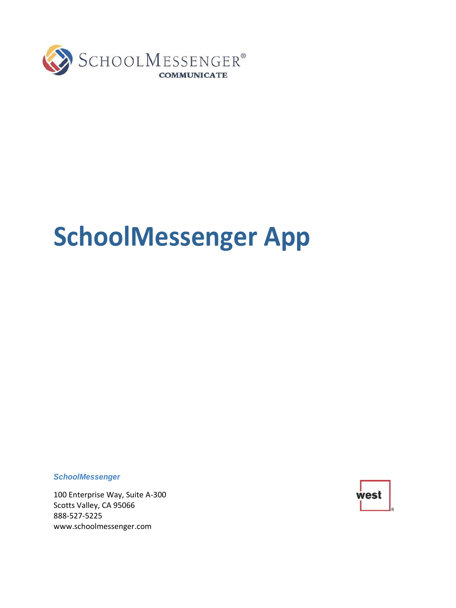

# **SchoolMessenger App**

*SchoolMessenger*

100 Enterprise Way, Suite A-300 Scotts Valley, CA 95066 888-527-5225 [www.schoolmessenger.com](http://www.schoolmessenger.com/)

west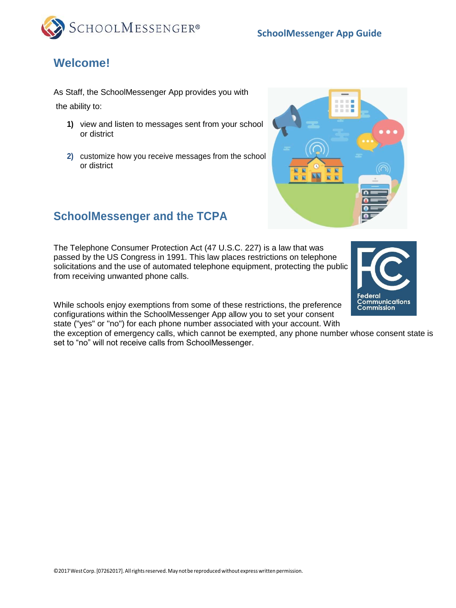



## **Welcome!**

As Staff, the SchoolMessenger App provides you with the ability to:

- **1)** view and listen to messages sent from your school or district
- **2)** customize how you receive messages from the school or district



## **SchoolMessenger and the TCPA**

The Telephone Consumer Protection Act (47 U.S.C. 227) is a law that was passed by the US Congress in 1991. This law places restrictions on telephone solicitations and the use of automated telephone equipment, protecting the public from receiving unwanted phone calls.

While schools enjoy exemptions from some of these restrictions, the preference configurations within the SchoolMessenger App allow you to set your consent state ("yes" or "no") for each phone number associated with your account. With

the exception of emergency calls, which cannot be exempted, any phone number whose consent state is set to "no" will not receive calls from SchoolMessenger.



Federal

**Communications Commission**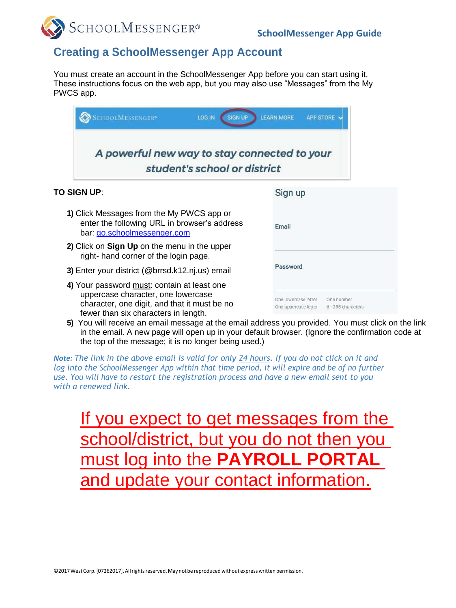

### **Creating a SchoolMessenger App Account**

You must create an account in the SchoolMessenger App before you can start using it. These instructions focus on the web app, but you may also use "Messages" from the My PWCS app.

| SCHOOLMESSENGER <sup>®</sup><br><b>SIGN UP</b><br><b>LOG IN</b>                                                                                                           | <b>LEARN MORE</b><br><b>APP STORE</b>                                            |
|---------------------------------------------------------------------------------------------------------------------------------------------------------------------------|----------------------------------------------------------------------------------|
| A powerful new way to stay connected to your<br>student's school or district                                                                                              |                                                                                  |
| TO SIGN UP:                                                                                                                                                               | Sign up                                                                          |
| 1) Click Messages from the My PWCS app or<br>enter the following URL in browser's address<br>bar: go.schoolmessenger.com                                                  | Email                                                                            |
| 2) Click on Sign Up on the menu in the upper<br>right- hand corner of the login page.                                                                                     |                                                                                  |
| 3) Enter your district (@brrsd.k12.nj.us) email                                                                                                                           | Password                                                                         |
| 4) Your password must: contain at least one<br>uppercase character, one lowercase<br>character, one digit, and that it must be no<br>fewer than six characters in length. | One lowercase letter<br>One number<br>One uppercase letter<br>6 - 255 characters |

**5)** You will receive an email message at the email address you provided. You must click on the link in the email. A new page will open up in your default browser. (Ignore the confirmation code at the top of the message; it is no longer being used.)

*Note: The link in the above email is valid for only 24 hours. If you do not click on it and log into the SchoolMessenger App within that time period, it will expire and be of no further use. You will have to restart the registration process and have a new email sent to you with a renewed link.*

If you expect to get messages from the school/district, but you do not then you must log into the **PAYROLL PORT** and update your contact information.